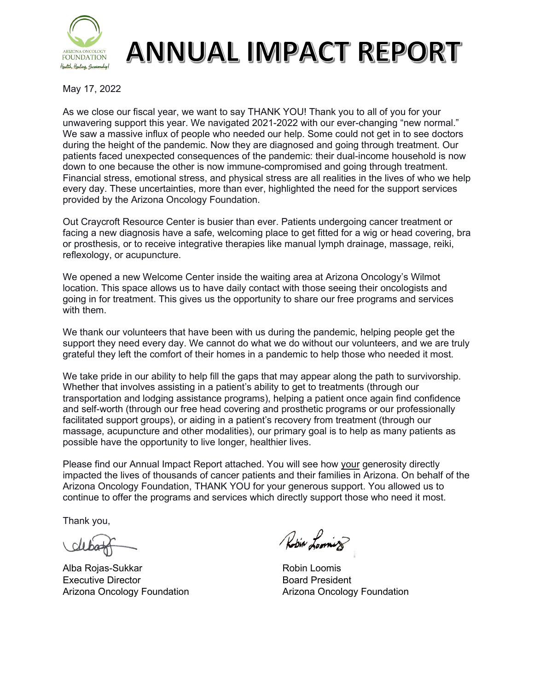

## **ANNUAL IMPACT REPORT**

May 17, 2022

As we close our fiscal year, we want to say THANK YOU! Thank you to all of you for your unwavering support this year. We navigated 2021-2022 with our ever-changing "new normal." We saw a massive influx of people who needed our help. Some could not get in to see doctors during the height of the pandemic. Now they are diagnosed and going through treatment. Our patients faced unexpected consequences of the pandemic: their dual-income household is now down to one because the other is now immune-compromised and going through treatment. Financial stress, emotional stress, and physical stress are all realities in the lives of who we help every day. These uncertainties, more than ever, highlighted the need for the support services provided by the Arizona Oncology Foundation.

Out Craycroft Resource Center is busier than ever. Patients undergoing cancer treatment or facing a new diagnosis have a safe, welcoming place to get fitted for a wig or head covering, bra or prosthesis, or to receive integrative therapies like manual lymph drainage, massage, reiki, reflexology, or acupuncture.

We opened a new Welcome Center inside the waiting area at Arizona Oncology's Wilmot location. This space allows us to have daily contact with those seeing their oncologists and going in for treatment. This gives us the opportunity to share our free programs and services with them.

We thank our volunteers that have been with us during the pandemic, helping people get the support they need every day. We cannot do what we do without our volunteers, and we are truly grateful they left the comfort of their homes in a pandemic to help those who needed it most.

We take pride in our ability to help fill the gaps that may appear along the path to survivorship. Whether that involves assisting in a patient's ability to get to treatments (through our transportation and lodging assistance programs), helping a patient once again find confidence and self-worth (through our free head covering and prosthetic programs or our professionally facilitated support groups), or aiding in a patient's recovery from treatment (through our massage, acupuncture and other modalities), our primary goal is to help as many patients as possible have the opportunity to live longer, healthier lives.

Please find our Annual Impact Report attached. You will see how your generosity directly impacted the lives of thousands of cancer patients and their families in Arizona. On behalf of the Arizona Oncology Foundation, THANK YOU for your generous support. You allowed us to continue to offer the programs and services which directly support those who need it most.

Thank you,

Alba Rojas-Sukkar Robin Loomis Executive Director **Board President** Arizona Oncology Foundation **Arizona Oncology Foundation** 

Robin Looming